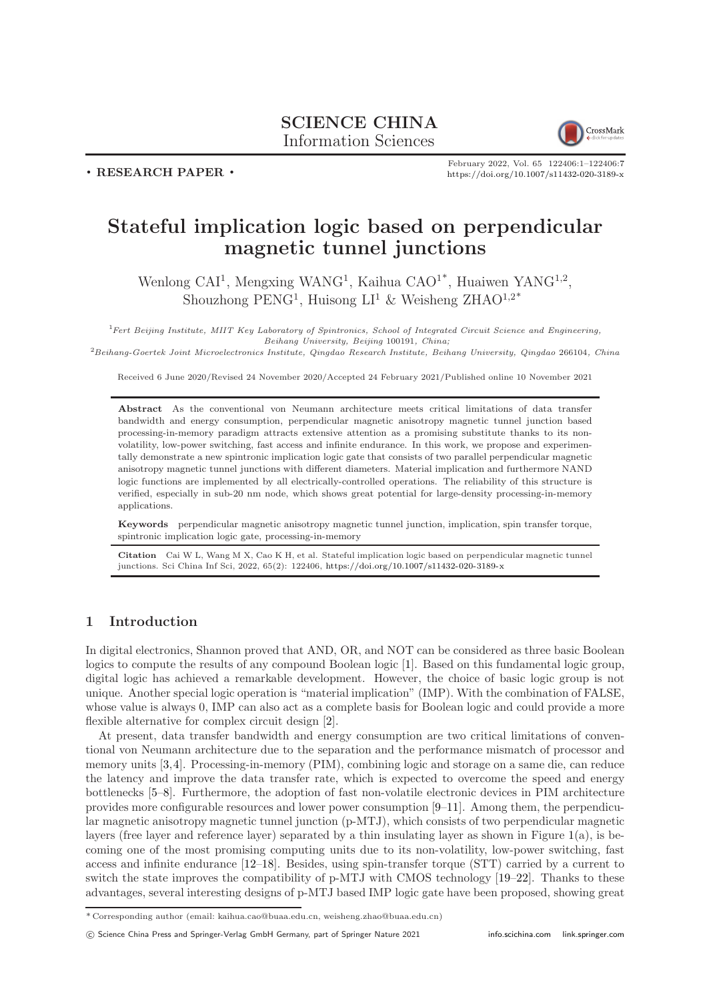# SCIENCE CHINA Information Sciences



. RESEARCH PAPER .

February 2022, Vol. 65 122406:1–122406[:7](#page-6-0) <https://doi.org/10.1007/s11432-020-3189-x>

# Stateful implication logic based on perpendicular magnetic tunnel junctions

Wenlong CAI<sup>1</sup>, Mengxing WANG<sup>1</sup>, Kaihua CAO<sup>1\*</sup>, Huaiwen YANG<sup>1,2</sup>, Shouzhong  $\text{PENG}^1$ , Huisong  $LI^1$  & Weisheng  $ZHAO^{1,2^*}$ 

<sup>1</sup>Fert Beijing Institute, MIIT Key Laboratory of Spintronics, School of Integrated Circuit Science and Engineering, Beihang University, Beijing 100191, China;

 ${}^{2}Beihang-Goertek Joint Microelectronics Institute, Qingdao Research Institute, Beihang University, Qingdao 266104, China$ 

Received 6 June 2020/Revised 24 November 2020/Accepted 24 February 2021/Published online 10 November 2021

Abstract As the conventional von Neumann architecture meets critical limitations of data transfer bandwidth and energy consumption, perpendicular magnetic anisotropy magnetic tunnel junction based processing-in-memory paradigm attracts extensive attention as a promising substitute thanks to its nonvolatility, low-power switching, fast access and infinite endurance. In this work, we propose and experimentally demonstrate a new spintronic implication logic gate that consists of two parallel perpendicular magnetic anisotropy magnetic tunnel junctions with different diameters. Material implication and furthermore NAND logic functions are implemented by all electrically-controlled operations. The reliability of this structure is verified, especially in sub-20 nm node, which shows great potential for large-density processing-in-memory applications.

Keywords perpendicular magnetic anisotropy magnetic tunnel junction, implication, spin transfer torque, spintronic implication logic gate, processing-in-memory

Citation Cai W L, Wang M X, Cao K H, et al. Stateful implication logic based on perpendicular magnetic tunnel junctions. Sci China Inf Sci, 2022, 65(2): 122406, <https://doi.org/10.1007/s11432-020-3189-x>

## 1 Introduction

In digital electronics, Shannon proved that AND, OR, and NOT can be considered as three basic Boolean logics to compute the results of any compound Boolean logic [\[1\]](#page-6-1). Based on this fundamental logic group, digital logic has achieved a remarkable development. However, the choice of basic logic group is not unique. Another special logic operation is "material implication" (IMP). With the combination of FALSE, whose value is always 0, IMP can also act as a complete basis for Boolean logic and could provide a more flexible alternative for complex circuit design [\[2\]](#page-6-2).

At present, data transfer bandwidth and energy consumption are two critical limitations of conventional von Neumann architecture due to the separation and the performance mismatch of processor and memory units [\[3,](#page-6-3)[4\]](#page-6-4). Processing-in-memory (PIM), combining logic and storage on a same die, can reduce the latency and improve the data transfer rate, which is expected to overcome the speed and energy bottlenecks [\[5](#page-6-5)[–8\]](#page-6-6). Furthermore, the adoption of fast non-volatile electronic devices in PIM architecture provides more configurable resources and lower power consumption [\[9](#page-6-7)[–11\]](#page-6-8). Among them, the perpendicular magnetic anisotropy magnetic tunnel junction (p-MTJ), which consists of two perpendicular magnetic layers (free layer and reference layer) separated by a thin insulating layer as shown in Figure [1\(](#page-1-0)a), is becoming one of the most promising computing units due to its non-volatility, low-power switching, fast access and infinite endurance [\[12](#page-6-9)[–18\]](#page-6-10). Besides, using spin-transfer torque (STT) carried by a current to switch the state improves the compatibility of p-MTJ with CMOS technology [\[19–](#page-6-11)[22\]](#page-6-12). Thanks to these advantages, several interesting designs of p-MTJ based IMP logic gate have been proposed, showing great

<sup>\*</sup> Corresponding author (email: kaihua.cao@buaa.edu.cn, weisheng.zhao@buaa.edu.cn)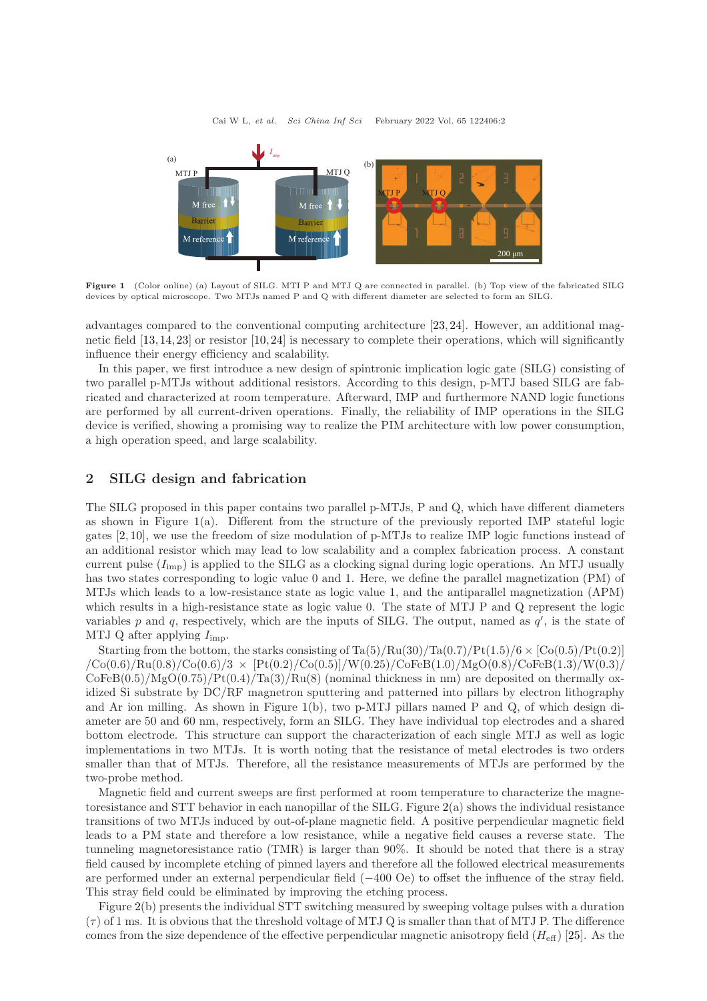<span id="page-1-0"></span>

Figure 1 (Color online) (a) Layout of SILG. MTI P and MTJ Q are connected in parallel. (b) Top view of the fabricated SILG devices by optical microscope. Two MTJs named P and Q with different diameter are selected to form an SILG.

advantages compared to the conventional computing architecture [\[23,](#page-6-13) [24\]](#page-6-14). However, an additional magnetic field [\[13,](#page-6-15)[14,](#page-6-16)[23\]](#page-6-13) or resistor [\[10,](#page-6-17)[24\]](#page-6-14) is necessary to complete their operations, which will significantly influence their energy efficiency and scalability.

In this paper, we first introduce a new design of spintronic implication logic gate (SILG) consisting of two parallel p-MTJs without additional resistors. According to this design, p-MTJ based SILG are fabricated and characterized at room temperature. Afterward, IMP and furthermore NAND logic functions are performed by all current-driven operations. Finally, the reliability of IMP operations in the SILG device is verified, showing a promising way to realize the PIM architecture with low power consumption, a high operation speed, and large scalability.

#### 2 SILG design and fabrication

The SILG proposed in this paper contains two parallel p-MTJs, P and Q, which have different diameters as shown in Figure [1\(](#page-1-0)a). Different from the structure of the previously reported IMP stateful logic gates [\[2,](#page-6-2) [10\]](#page-6-17), we use the freedom of size modulation of p-MTJs to realize IMP logic functions instead of an additional resistor which may lead to low scalability and a complex fabrication process. A constant current pulse  $(I_{\text{imp}})$  is applied to the SILG as a clocking signal during logic operations. An MTJ usually has two states corresponding to logic value 0 and 1. Here, we define the parallel magnetization (PM) of MTJs which leads to a low-resistance state as logic value 1, and the antiparallel magnetization (APM) which results in a high-resistance state as logic value 0. The state of MTJ P and Q represent the logic variables p and q, respectively, which are the inputs of SILG. The output, named as  $q'$ , is the state of MTJ Q after applying  $I_{\text{imp}}$ .

Starting from the bottom, the starks consisting of  $Ta(5)/Ru(30)/Ta(0.7)/Pt(1.5)/6 \times [Co(0.5)/Pt(0.2)]$  $\sqrt{C_0(0.6)/Ru(0.8)/C_0(0.6)/3}$  ×  $[Pt(0.2)/C_0(0.5)]/W(0.25)/C_0$ FeB $(1.0)/MgO(0.8)/C_0$ FeB $(1.3)/W(0.3)$  $\text{CoFeB}(0.5)/\text{MgO}(0.75)/\text{Pt}(0.4)/\text{Ta}(3)/\text{Ru}(8)$  (nominal thickness in nm) are deposited on thermally oxidized Si substrate by DC/RF magnetron sputtering and patterned into pillars by electron lithography and Ar ion milling. As shown in Figure  $1(b)$  $1(b)$ , two p-MTJ pillars named P and Q, of which design diameter are 50 and 60 nm, respectively, form an SILG. They have individual top electrodes and a shared bottom electrode. This structure can support the characterization of each single MTJ as well as logic implementations in two MTJs. It is worth noting that the resistance of metal electrodes is two orders smaller than that of MTJs. Therefore, all the resistance measurements of MTJs are performed by the two-probe method.

Magnetic field and current sweeps are first performed at room temperature to characterize the magnetoresistance and STT behavior in each nanopillar of the SILG. Figure [2\(](#page-2-0)a) shows the individual resistance transitions of two MTJs induced by out-of-plane magnetic field. A positive perpendicular magnetic field leads to a PM state and therefore a low resistance, while a negative field causes a reverse state. The tunneling magnetoresistance ratio (TMR) is larger than 90%. It should be noted that there is a stray field caused by incomplete etching of pinned layers and therefore all the followed electrical measurements are performed under an external perpendicular field (−400 Oe) to offset the influence of the stray field. This stray field could be eliminated by improving the etching process.

Figure [2\(](#page-2-0)b) presents the individual STT switching measured by sweeping voltage pulses with a duration  $(\tau)$  of 1 ms. It is obvious that the threshold voltage of MTJ Q is smaller than that of MTJ P. The difference comes from the size dependence of the effective perpendicular magnetic anisotropy field  $(H_{\text{eff}})$  [\[25\]](#page-6-18). As the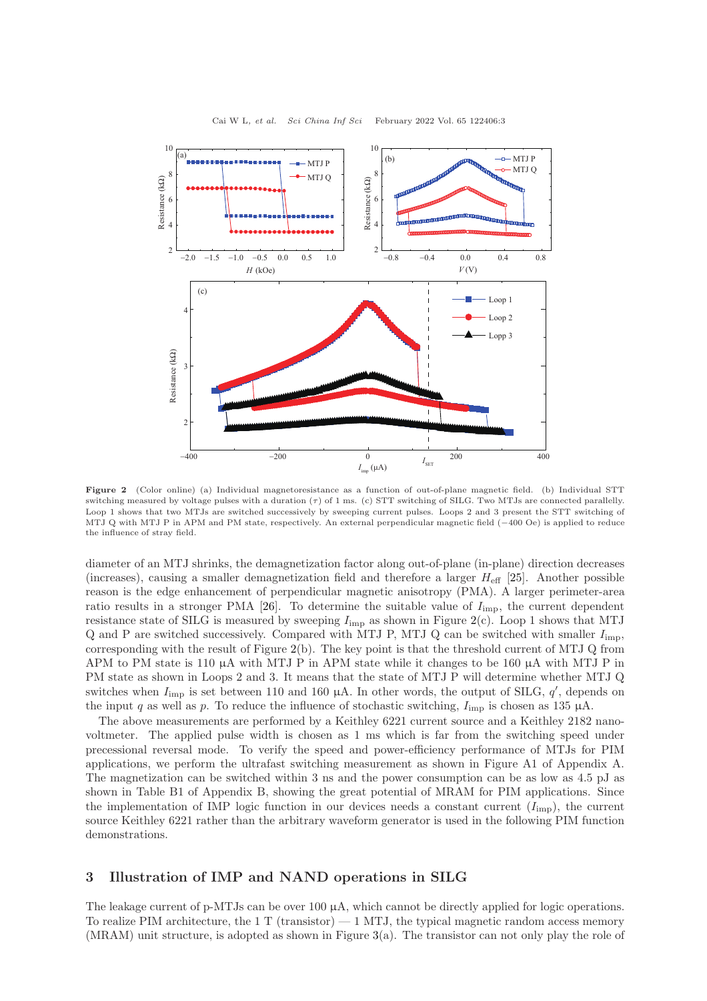<span id="page-2-0"></span>

Figure 2 (Color online) (a) Individual magnetoresistance as a function of out-of-plane magnetic field. (b) Individual STT switching measured by voltage pulses with a duration  $(\tau)$  of 1 ms. (c) STT switching of SILG. Two MTJs are connected parallelly. Loop 1 shows that two MTJs are switched successively by sweeping current pulses. Loops 2 and 3 present the STT switching of MTJ Q with MTJ P in APM and PM state, respectively. An external perpendicular magnetic field (−400 Oe) is applied to reduce the influence of stray field.

diameter of an MTJ shrinks, the demagnetization factor along out-of-plane (in-plane) direction decreases (increases), causing a smaller demagnetization field and therefore a larger  $H_{\text{eff}}$  [\[25\]](#page-6-18). Another possible reason is the edge enhancement of perpendicular magnetic anisotropy (PMA). A larger perimeter-area ratio results in a stronger PMA [\[26\]](#page-6-19). To determine the suitable value of  $I_{\text{imp}}$ , the current dependent resistance state of SILG is measured by sweeping  $I_{\text{imp}}$  as shown in Figure [2\(](#page-2-0)c). Loop 1 shows that MTJ  $Q$  and P are switched successively. Compared with MTJ P, MTJ  $Q$  can be switched with smaller  $I_{\text{imp}}$ , corresponding with the result of Figure  $2(b)$  $2(b)$ . The key point is that the threshold current of MTJ  $Q$  from APM to PM state is 110  $\mu$ A with MTJ P in APM state while it changes to be 160  $\mu$ A with MTJ P in PM state as shown in Loops 2 and 3. It means that the state of MTJ P will determine whether MTJ Q switches when  $I_{\text{imp}}$  is set between 110 and 160  $\mu$ A. In other words, the output of SILG,  $q'$ , depends on the input q as well as p. To reduce the influence of stochastic switching,  $I_{\text{imp}}$  is chosen as 135 µA.

The above measurements are performed by a Keithley 6221 current source and a Keithley 2182 nanovoltmeter. The applied pulse width is chosen as 1 ms which is far from the switching speed under precessional reversal mode. To verify the speed and power-efficiency performance of MTJs for PIM applications, we perform the ultrafast switching measurement as shown in Figure A1 of Appendix A. The magnetization can be switched within 3 ns and the power consumption can be as low as 4.5 pJ as shown in Table B1 of Appendix B, showing the great potential of MRAM for PIM applications. Since the implementation of IMP logic function in our devices needs a constant current  $(I_{\text{imp}})$ , the current source Keithley 6221 rather than the arbitrary waveform generator is used in the following PIM function demonstrations.

### 3 Illustration of IMP and NAND operations in SILG

The leakage current of p-MTJs can be over  $100 \mu A$ , which cannot be directly applied for logic operations. To realize PIM architecture, the 1 T (transistor)  $-1$  MTJ, the typical magnetic random access memory (MRAM) unit structure, is adopted as shown in Figure [3\(](#page-3-0)a). The transistor can not only play the role of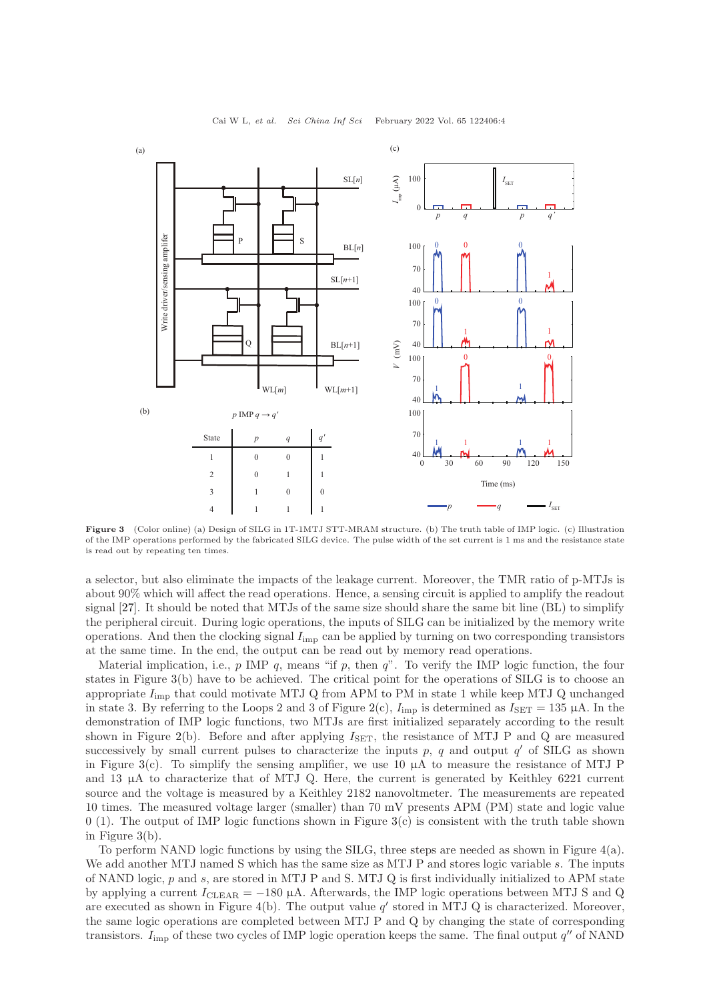<span id="page-3-0"></span>

Figure 3 (Color online) (a) Design of SILG in 1T-1MTJ STT-MRAM structure. (b) The truth table of IMP logic. (c) Illustration of the IMP operations performed by the fabricated SILG device. The pulse width of the set current is 1 ms and the resistance state is read out by repeating ten times.

a selector, but also eliminate the impacts of the leakage current. Moreover, the TMR ratio of p-MTJs is about 90% which will affect the read operations. Hence, a sensing circuit is applied to amplify the readout signal [\[27\]](#page-6-20). It should be noted that MTJs of the same size should share the same bit line (BL) to simplify the peripheral circuit. During logic operations, the inputs of SILG can be initialized by the memory write operations. And then the clocking signal  $I_{\text{imp}}$  can be applied by turning on two corresponding transistors at the same time. In the end, the output can be read out by memory read operations.

Material implication, i.e.,  $p$  IMP  $q$ , means "if  $p$ , then  $q$ ". To verify the IMP logic function, the four states in Figure [3\(](#page-3-0)b) have to be achieved. The critical point for the operations of SILG is to choose an appropriate  $I_{\text{imp}}$  that could motivate MTJ Q from APM to PM in state 1 while keep MTJ Q unchanged in state 3. By referring to the Loops 2 and 3 of Figure [2\(](#page-2-0)c),  $I_{\text{imp}}$  is determined as  $I_{\text{SET}} = 135 \mu\text{A}$ . In the demonstration of IMP logic functions, two MTJs are first initialized separately according to the result shown in Figure [2\(](#page-2-0)b). Before and after applying  $I_{\text{SET}}$ , the resistance of MTJ P and Q are measured successively by small current pulses to characterize the inputs  $p, q$  and output  $q'$  of SILG as shown in Figure [3\(](#page-3-0)c). To simplify the sensing amplifier, we use 10  $\mu$ A to measure the resistance of MTJ P and 13 µA to characterize that of MTJ Q. Here, the current is generated by Keithley 6221 current source and the voltage is measured by a Keithley 2182 nanovoltmeter. The measurements are repeated 10 times. The measured voltage larger (smaller) than 70 mV presents APM (PM) state and logic value  $0$  (1). The output of IMP logic functions shown in Figure [3\(](#page-3-0)c) is consistent with the truth table shown in Figure [3\(](#page-3-0)b).

To perform NAND logic functions by using the SILG, three steps are needed as shown in Figure [4\(](#page-4-0)a). We add another MTJ named S which has the same size as MTJ P and stores logic variable s. The inputs of NAND logic,  $p$  and  $s$ , are stored in MTJ P and S. MTJ Q is first individually initialized to APM state by applying a current  $I_{\text{CLEAR}} = -180 \mu\text{A}$ . Afterwards, the IMP logic operations between MTJ S and Q are executed as shown in Figure [4\(](#page-4-0)b). The output value  $q'$  stored in MTJ Q is characterized. Moreover, the same logic operations are completed between MTJ P and Q by changing the state of corresponding transistors.  $I_{\text{imp}}$  of these two cycles of IMP logic operation keeps the same. The final output  $q''$  of NAND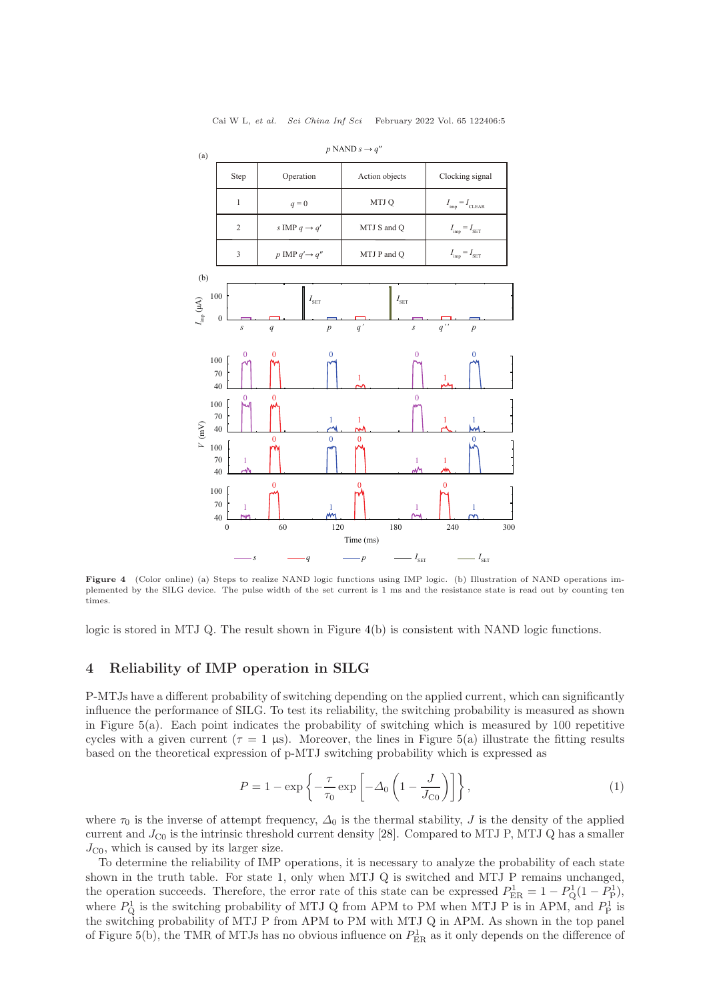<span id="page-4-0"></span>

 $p$  NAND  $s \rightarrow q'$ 

Figure 4 (Color online) (a) Steps to realize NAND logic functions using IMP logic. (b) Illustration of NAND operations implemented by the SILG device. The pulse width of the set current is 1 ms and the resistance state is read out by counting ten times.

logic is stored in MTJ Q. The result shown in Figure [4\(](#page-4-0)b) is consistent with NAND logic functions.

#### 4 Reliability of IMP operation in SILG

P-MTJs have a different probability of switching depending on the applied current, which can significantly influence the performance of SILG. To test its reliability, the switching probability is measured as shown in Figure  $5(a)$  $5(a)$ . Each point indicates the probability of switching which is measured by 100 repetitive cycles with a given current ( $\tau = 1$  µs). Moreover, the lines in Figure [5\(](#page-5-0)a) illustrate the fitting results based on the theoretical expression of p-MTJ switching probability which is expressed as

<span id="page-4-1"></span>
$$
P = 1 - \exp\left\{-\frac{\tau}{\tau_0} \exp\left[-\Delta_0 \left(1 - \frac{J}{J_{\rm CO}}\right)\right]\right\},\tag{1}
$$

where  $\tau_0$  is the inverse of attempt frequency,  $\Delta_0$  is the thermal stability, J is the density of the applied current and  $J_{\rm CO}$  is the intrinsic threshold current density [\[28\]](#page-6-21). Compared to MTJ P, MTJ Q has a smaller  $J_{\text{C0}}$ , which is caused by its larger size.

To determine the reliability of IMP operations, it is necessary to analyze the probability of each state shown in the truth table. For state 1, only when MTJ Q is switched and MTJ P remains unchanged, the operation succeeds. Therefore, the error rate of this state can be expressed  $P_{\text{ER}}^1 = 1 - P_{\text{Q}}^1(1 - P_{\text{P}}^1)$ , where  $P_{\text{Q}}^1$  is the switching probability of MTJ Q from APM to PM when MTJ P is in APM, and  $P_{\text{P}}^1$  is the switching probability of MTJ P from APM to PM with MTJ Q in APM. As shown in the top panel of Figure [5\(](#page-5-0)b), the TMR of MTJs has no obvious influence on  $P_{\text{ER}}^1$  as it only depends on the difference of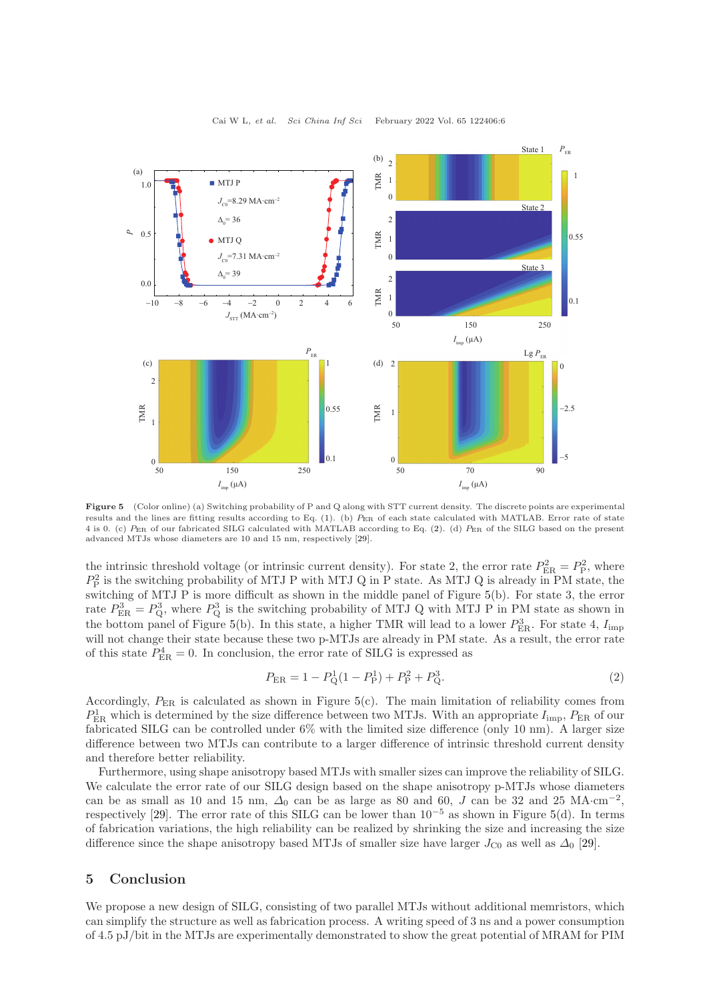<span id="page-5-0"></span>

Figure 5 (Color online) (a) Switching probability of P and Q along with STT current density. The discrete points are experimental results and the lines are fitting results according to Eq. [\(1\)](#page-4-1). (b) PER of each state calculated with MATLAB. Error rate of state 4 is 0. (c) PER of our fabricated SILG calculated with MATLAB according to Eq. [\(2\)](#page-5-1). (d) PER of the SILG based on the present advanced MTJs whose diameters are 10 and 15 nm, respectively [\[29\]](#page-6-22).

the intrinsic threshold voltage (or intrinsic current density). For state 2, the error rate  $P_{\text{ER}}^2 = P_{\text{P}}^2$ , where  $P_P^2$  is the switching probability of MTJ P with MTJ Q in P state. As MTJ Q is already in PM state, the switching of MTJ P is more difficult as shown in the middle panel of Figure [5\(](#page-5-0)b). For state 3, the error rate  $P_{\text{ER}}^3 = P_{\text{Q}}^3$ , where  $P_{\text{Q}}^3$  is the switching probability of MTJ Q with MTJ P in PM state as shown in the bottom panel of Figure [5\(](#page-5-0)b). In this state, a higher TMR will lead to a lower  $P_{\text{ER}}^3$ . For state 4,  $I_{\text{imp}}$ will not change their state because these two p-MTJs are already in PM state. As a result, the error rate of this state  $P_{\text{ER}}^4 = 0$ . In conclusion, the error rate of SILG is expressed as

<span id="page-5-1"></span>
$$
P_{\rm ER} = 1 - P_{\rm Q}^1 (1 - P_{\rm P}^1) + P_{\rm P}^2 + P_{\rm Q}^3.
$$
\n<sup>(2)</sup>

Accordingly,  $P_{\text{ER}}$  is calculated as shown in Figure [5\(](#page-5-0)c). The main limitation of reliability comes from  $P_{\text{ER}}^1$  which is determined by the size difference between two MTJs. With an appropriate  $I_{\text{imp}}$ ,  $P_{\text{ER}}$  of our fabricated SILG can be controlled under 6% with the limited size difference (only 10 nm). A larger size difference between two MTJs can contribute to a larger difference of intrinsic threshold current density and therefore better reliability.

Furthermore, using shape anisotropy based MTJs with smaller sizes can improve the reliability of SILG. We calculate the error rate of our SILG design based on the shape anisotropy p-MTJs whose diameters can be as small as 10 and 15 nm,  $\Delta_0$  can be as large as 80 and 60, J can be 32 and 25 MA·cm<sup>-2</sup>, respectively [\[29\]](#page-6-22). The error rate of this SILG can be lower than  $10^{-5}$  as shown in Figure [5\(](#page-5-0)d). In terms of fabrication variations, the high reliability can be realized by shrinking the size and increasing the size difference since the shape anisotropy based MTJs of smaller size have larger  $J_{\rm C0}$  as well as  $\Delta_0$  [\[29\]](#page-6-22).

#### 5 Conclusion

We propose a new design of SILG, consisting of two parallel MTJs without additional memristors, which can simplify the structure as well as fabrication process. A writing speed of 3 ns and a power consumption of 4.5 pJ/bit in the MTJs are experimentally demonstrated to show the great potential of MRAM for PIM